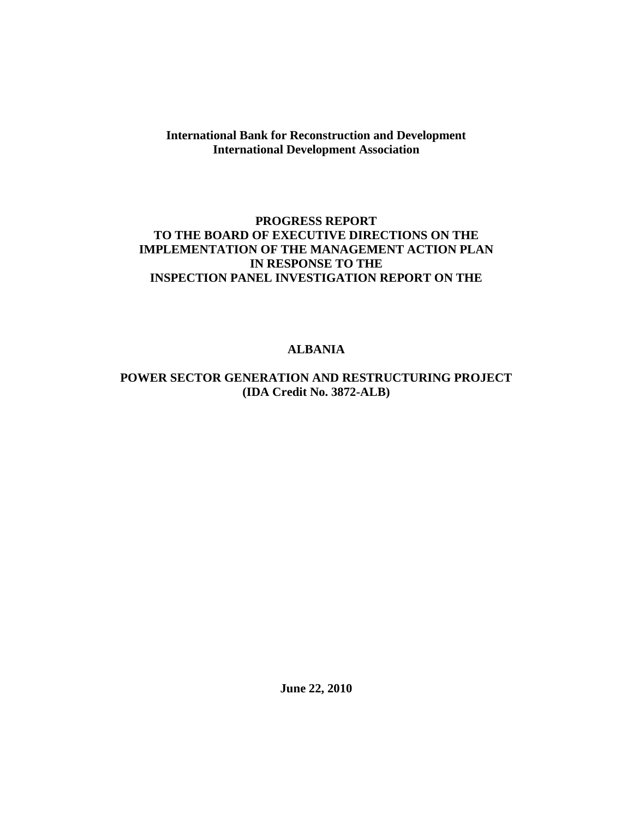**International Bank for Reconstruction and Development International Development Association**

#### **PROGRESS REPORT TO THE BOARD OF EXECUTIVE DIRECTIONS ON THE IMPLEMENTATION OF THE MANAGEMENT ACTION PLAN IN RESPONSE TO THE INSPECTION PANEL INVESTIGATION REPORT ON THE**

#### **ALBANIA**

#### **POWER SECTOR GENERATION AND RESTRUCTURING PROJECT (IDA Credit No. 3872-ALB)**

**June 22, 2010**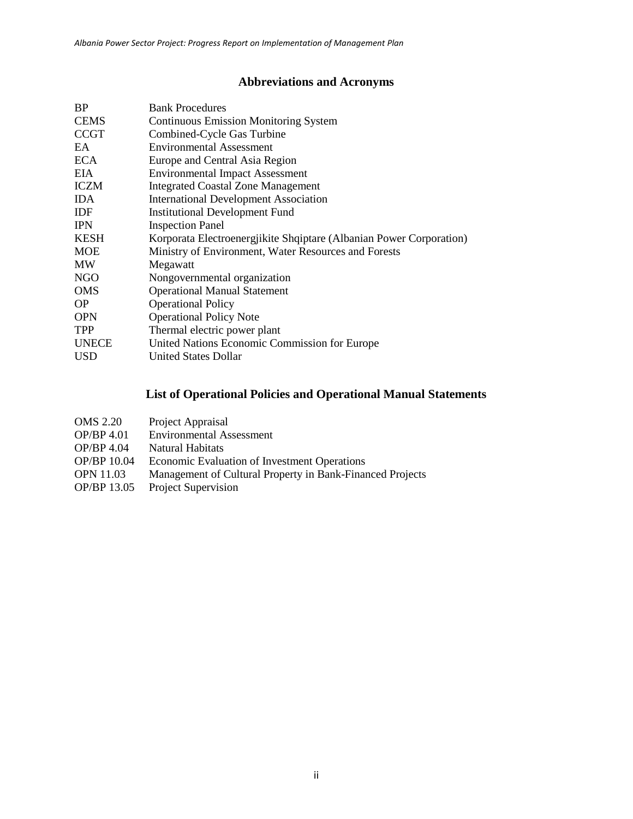# **Abbreviations and Acronyms**

| <b>Bank Procedures</b>                                              |
|---------------------------------------------------------------------|
| <b>Continuous Emission Monitoring System</b>                        |
| Combined-Cycle Gas Turbine                                          |
| <b>Environmental Assessment</b>                                     |
| Europe and Central Asia Region                                      |
| <b>Environmental Impact Assessment</b>                              |
| <b>Integrated Coastal Zone Management</b>                           |
| <b>International Development Association</b>                        |
| <b>Institutional Development Fund</b>                               |
| <b>Inspection Panel</b>                                             |
| Korporata Electroenergjikite Shqiptare (Albanian Power Corporation) |
| Ministry of Environment, Water Resources and Forests                |
| Megawatt                                                            |
| Nongovernmental organization                                        |
| <b>Operational Manual Statement</b>                                 |
| <b>Operational Policy</b>                                           |
| <b>Operational Policy Note</b>                                      |
| Thermal electric power plant                                        |
| United Nations Economic Commission for Europe                       |
| <b>United States Dollar</b>                                         |
|                                                                     |

# **List of Operational Policies and Operational Manual Statements**

| <b>OMS 2.20</b>  | Project Appraisal                                         |
|------------------|-----------------------------------------------------------|
| OP/BP 4.01       | <b>Environmental Assessment</b>                           |
| OP/BP 4.04       | Natural Habitats                                          |
| OP/BP 10.04      | Economic Evaluation of Investment Operations              |
| <b>OPN 11.03</b> | Management of Cultural Property in Bank-Financed Projects |
| OP/BP 13.05      | <b>Project Supervision</b>                                |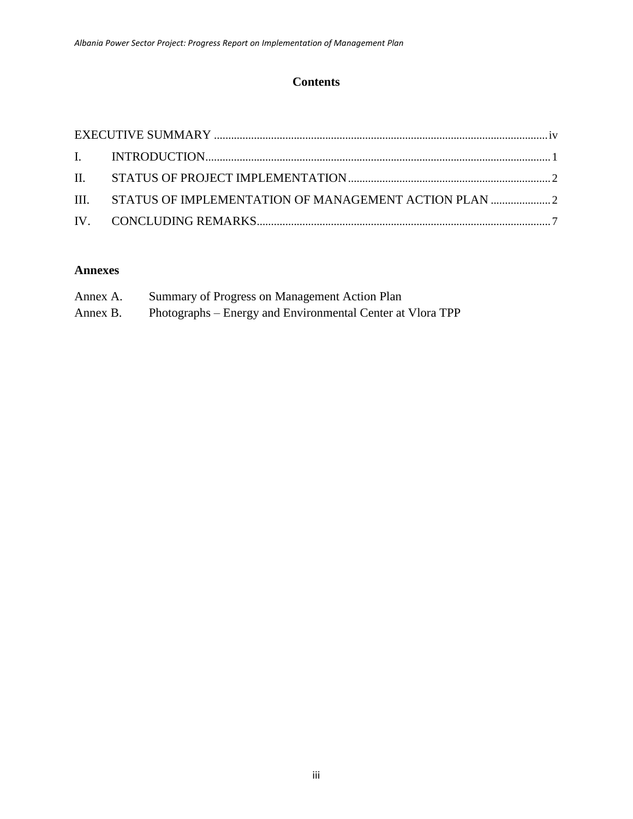## **Contents**

| III. STATUS OF IMPLEMENTATION OF MANAGEMENT ACTION PLAN |  |
|---------------------------------------------------------|--|
|                                                         |  |

### **Annexes**

| Annex A. | Summary of Progress on Management Action Plan              |
|----------|------------------------------------------------------------|
| Annex B. | Photographs – Energy and Environmental Center at Vlora TPP |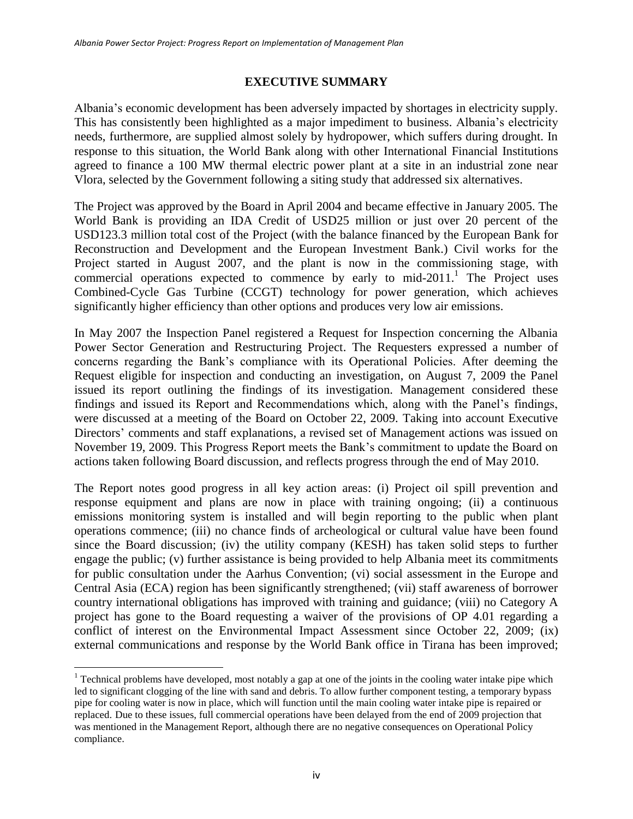#### **EXECUTIVE SUMMARY**

<span id="page-3-0"></span>Albania's economic development has been adversely impacted by shortages in electricity supply. This has consistently been highlighted as a major impediment to business. Albania's electricity needs, furthermore, are supplied almost solely by hydropower, which suffers during drought. In response to this situation, the World Bank along with other International Financial Institutions agreed to finance a 100 MW thermal electric power plant at a site in an industrial zone near Vlora, selected by the Government following a siting study that addressed six alternatives.

The Project was approved by the Board in April 2004 and became effective in January 2005. The World Bank is providing an IDA Credit of USD25 million or just over 20 percent of the USD123.3 million total cost of the Project (with the balance financed by the European Bank for Reconstruction and Development and the European Investment Bank.) Civil works for the Project started in August 2007, and the plant is now in the commissioning stage, with commercial operations expected to commence by early to mid-2011.<sup>1</sup> The Project uses Combined-Cycle Gas Turbine (CCGT) technology for power generation, which achieves significantly higher efficiency than other options and produces very low air emissions.

In May 2007 the Inspection Panel registered a Request for Inspection concerning the Albania Power Sector Generation and Restructuring Project. The Requesters expressed a number of concerns regarding the Bank's compliance with its Operational Policies. After deeming the Request eligible for inspection and conducting an investigation, on August 7, 2009 the Panel issued its report outlining the findings of its investigation. Management considered these findings and issued its Report and Recommendations which, along with the Panel's findings, were discussed at a meeting of the Board on October 22, 2009. Taking into account Executive Directors' comments and staff explanations, a revised set of Management actions was issued on November 19, 2009. This Progress Report meets the Bank's commitment to update the Board on actions taken following Board discussion, and reflects progress through the end of May 2010.

The Report notes good progress in all key action areas: (i) Project oil spill prevention and response equipment and plans are now in place with training ongoing; (ii) a continuous emissions monitoring system is installed and will begin reporting to the public when plant operations commence; (iii) no chance finds of archeological or cultural value have been found since the Board discussion; (iv) the utility company (KESH) has taken solid steps to further engage the public; (v) further assistance is being provided to help Albania meet its commitments for public consultation under the Aarhus Convention; (vi) social assessment in the Europe and Central Asia (ECA) region has been significantly strengthened; (vii) staff awareness of borrower country international obligations has improved with training and guidance; (viii) no Category A project has gone to the Board requesting a waiver of the provisions of OP 4.01 regarding a conflict of interest on the Environmental Impact Assessment since October 22, 2009; (ix) external communications and response by the World Bank office in Tirana has been improved;

l

<sup>&</sup>lt;sup>1</sup> Technical problems have developed, most notably a gap at one of the joints in the cooling water intake pipe which led to significant clogging of the line with sand and debris. To allow further component testing, a temporary bypass pipe for cooling water is now in place, which will function until the main cooling water intake pipe is repaired or replaced. Due to these issues, full commercial operations have been delayed from the end of 2009 projection that was mentioned in the Management Report, although there are no negative consequences on Operational Policy compliance.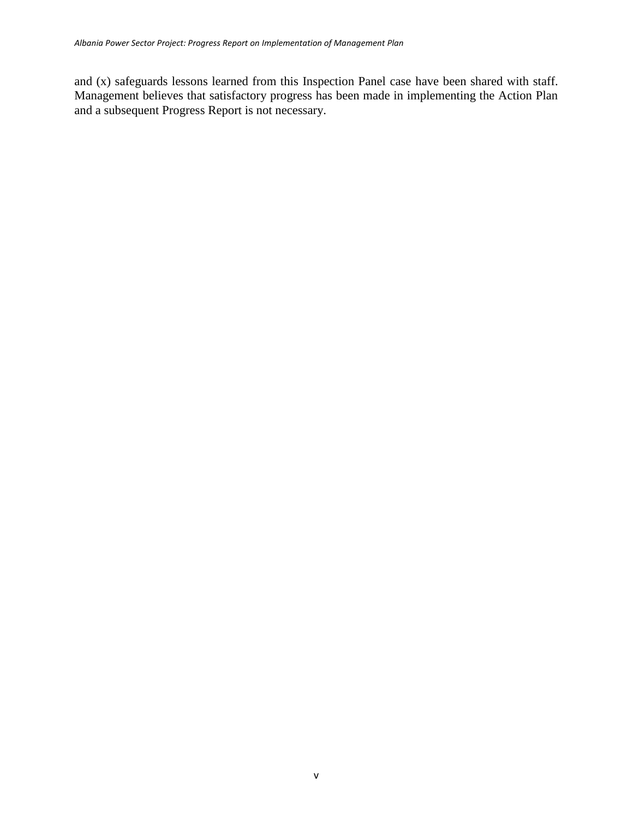and (x) safeguards lessons learned from this Inspection Panel case have been shared with staff. Management believes that satisfactory progress has been made in implementing the Action Plan and a subsequent Progress Report is not necessary.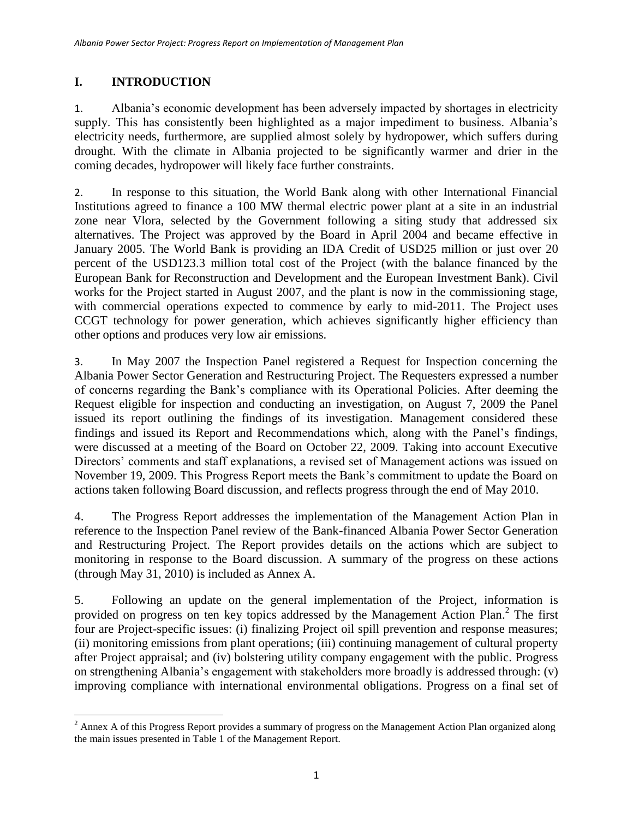## <span id="page-5-0"></span>**I. INTRODUCTION**

1. Albania's economic development has been adversely impacted by shortages in electricity supply. This has consistently been highlighted as a major impediment to business. Albania's electricity needs, furthermore, are supplied almost solely by hydropower, which suffers during drought. With the climate in Albania projected to be significantly warmer and drier in the coming decades, hydropower will likely face further constraints.

2. In response to this situation, the World Bank along with other International Financial Institutions agreed to finance a 100 MW thermal electric power plant at a site in an industrial zone near Vlora, selected by the Government following a siting study that addressed six alternatives. The Project was approved by the Board in April 2004 and became effective in January 2005. The World Bank is providing an IDA Credit of USD25 million or just over 20 percent of the USD123.3 million total cost of the Project (with the balance financed by the European Bank for Reconstruction and Development and the European Investment Bank). Civil works for the Project started in August 2007, and the plant is now in the commissioning stage, with commercial operations expected to commence by early to mid-2011. The Project uses CCGT technology for power generation, which achieves significantly higher efficiency than other options and produces very low air emissions.

3. In May 2007 the Inspection Panel registered a Request for Inspection concerning the Albania Power Sector Generation and Restructuring Project. The Requesters expressed a number of concerns regarding the Bank's compliance with its Operational Policies. After deeming the Request eligible for inspection and conducting an investigation, on August 7, 2009 the Panel issued its report outlining the findings of its investigation. Management considered these findings and issued its Report and Recommendations which, along with the Panel's findings, were discussed at a meeting of the Board on October 22, 2009. Taking into account Executive Directors' comments and staff explanations, a revised set of Management actions was issued on November 19, 2009. This Progress Report meets the Bank's commitment to update the Board on actions taken following Board discussion, and reflects progress through the end of May 2010.

4. The Progress Report addresses the implementation of the Management Action Plan in reference to the Inspection Panel review of the Bank-financed Albania Power Sector Generation and Restructuring Project. The Report provides details on the actions which are subject to monitoring in response to the Board discussion. A summary of the progress on these actions (through May 31, 2010) is included as Annex A.

5. Following an update on the general implementation of the Project, information is provided on progress on ten key topics addressed by the Management Action Plan.<sup>2</sup> The first four are Project-specific issues: (i) finalizing Project oil spill prevention and response measures; (ii) monitoring emissions from plant operations; (iii) continuing management of cultural property after Project appraisal; and (iv) bolstering utility company engagement with the public. Progress on strengthening Albania's engagement with stakeholders more broadly is addressed through: (v) improving compliance with international environmental obligations. Progress on a final set of

 $\overline{\phantom{a}}$  $2^2$  Annex A of this Progress Report provides a summary of progress on the Management Action Plan organized along the main issues presented in Table 1 of the Management Report.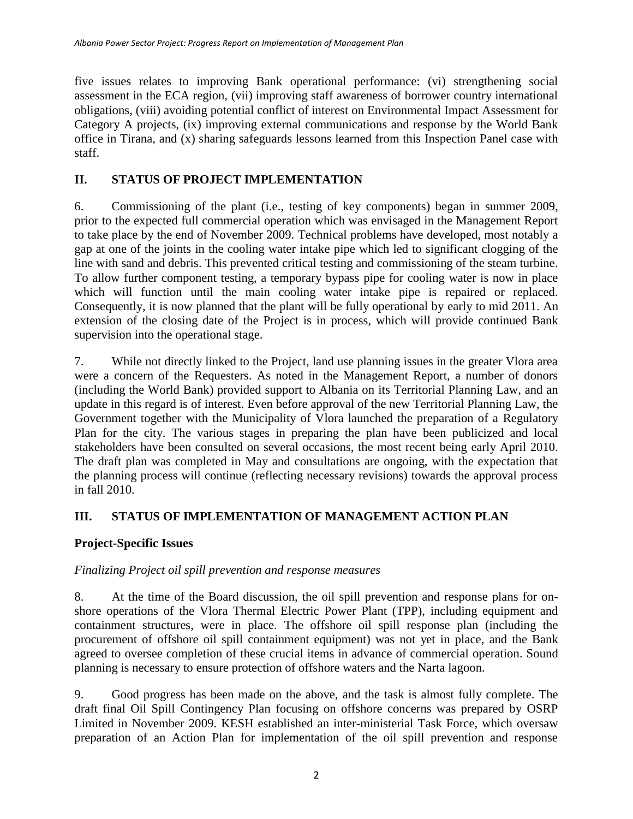five issues relates to improving Bank operational performance: (vi) strengthening social assessment in the ECA region, (vii) improving staff awareness of borrower country international obligations, (viii) avoiding potential conflict of interest on Environmental Impact Assessment for Category A projects, (ix) improving external communications and response by the World Bank office in Tirana, and (x) sharing safeguards lessons learned from this Inspection Panel case with staff.

## <span id="page-6-0"></span>**II. STATUS OF PROJECT IMPLEMENTATION**

6. Commissioning of the plant (i.e., testing of key components) began in summer 2009, prior to the expected full commercial operation which was envisaged in the Management Report to take place by the end of November 2009. Technical problems have developed, most notably a gap at one of the joints in the cooling water intake pipe which led to significant clogging of the line with sand and debris. This prevented critical testing and commissioning of the steam turbine. To allow further component testing, a temporary bypass pipe for cooling water is now in place which will function until the main cooling water intake pipe is repaired or replaced. Consequently, it is now planned that the plant will be fully operational by early to mid 2011. An extension of the closing date of the Project is in process, which will provide continued Bank supervision into the operational stage.

7. While not directly linked to the Project, land use planning issues in the greater Vlora area were a concern of the Requesters. As noted in the Management Report, a number of donors (including the World Bank) provided support to Albania on its Territorial Planning Law, and an update in this regard is of interest. Even before approval of the new Territorial Planning Law, the Government together with the Municipality of Vlora launched the preparation of a Regulatory Plan for the city. The various stages in preparing the plan have been publicized and local stakeholders have been consulted on several occasions, the most recent being early April 2010. The draft plan was completed in May and consultations are ongoing, with the expectation that the planning process will continue (reflecting necessary revisions) towards the approval process in fall 2010.

## <span id="page-6-1"></span>**III. STATUS OF IMPLEMENTATION OF MANAGEMENT ACTION PLAN**

## **Project-Specific Issues**

### *Finalizing Project oil spill prevention and response measures*

8. At the time of the Board discussion, the oil spill prevention and response plans for onshore operations of the Vlora Thermal Electric Power Plant (TPP), including equipment and containment structures, were in place. The offshore oil spill response plan (including the procurement of offshore oil spill containment equipment) was not yet in place, and the Bank agreed to oversee completion of these crucial items in advance of commercial operation. Sound planning is necessary to ensure protection of offshore waters and the Narta lagoon.

9. Good progress has been made on the above, and the task is almost fully complete. The draft final Oil Spill Contingency Plan focusing on offshore concerns was prepared by OSRP Limited in November 2009. KESH established an inter-ministerial Task Force, which oversaw preparation of an Action Plan for implementation of the oil spill prevention and response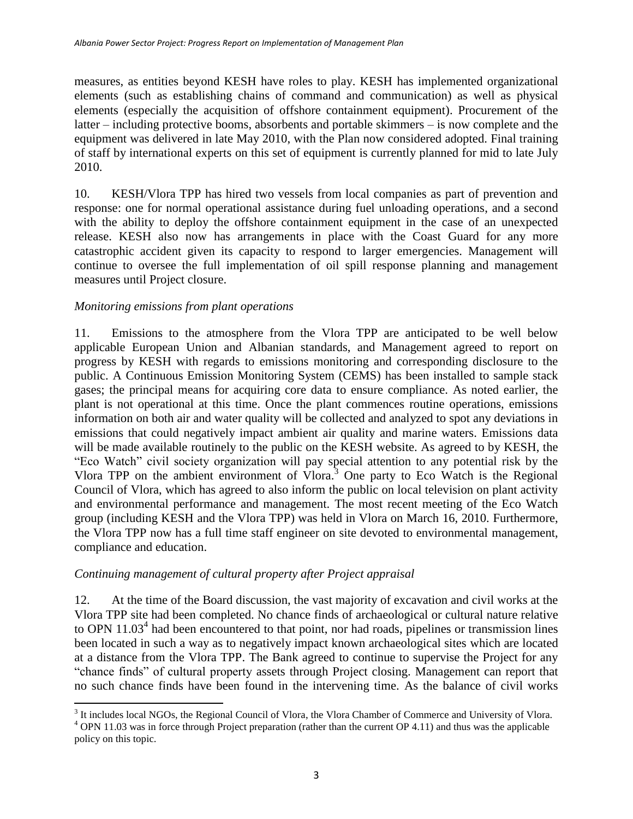measures, as entities beyond KESH have roles to play. KESH has implemented organizational elements (such as establishing chains of command and communication) as well as physical elements (especially the acquisition of offshore containment equipment). Procurement of the latter – including protective booms, absorbents and portable skimmers – is now complete and the equipment was delivered in late May 2010, with the Plan now considered adopted. Final training of staff by international experts on this set of equipment is currently planned for mid to late July 2010.

10. KESH/Vlora TPP has hired two vessels from local companies as part of prevention and response: one for normal operational assistance during fuel unloading operations, and a second with the ability to deploy the offshore containment equipment in the case of an unexpected release. KESH also now has arrangements in place with the Coast Guard for any more catastrophic accident given its capacity to respond to larger emergencies. Management will continue to oversee the full implementation of oil spill response planning and management measures until Project closure.

#### *Monitoring emissions from plant operations*

11. Emissions to the atmosphere from the Vlora TPP are anticipated to be well below applicable European Union and Albanian standards, and Management agreed to report on progress by KESH with regards to emissions monitoring and corresponding disclosure to the public. A Continuous Emission Monitoring System (CEMS) has been installed to sample stack gases; the principal means for acquiring core data to ensure compliance. As noted earlier, the plant is not operational at this time. Once the plant commences routine operations, emissions information on both air and water quality will be collected and analyzed to spot any deviations in emissions that could negatively impact ambient air quality and marine waters. Emissions data will be made available routinely to the public on the KESH website. As agreed to by KESH, the "Eco Watch" civil society organization will pay special attention to any potential risk by the Vlora TPP on the ambient environment of Vlora. <sup>3</sup> One party to Eco Watch is the Regional Council of Vlora, which has agreed to also inform the public on local television on plant activity and environmental performance and management. The most recent meeting of the Eco Watch group (including KESH and the Vlora TPP) was held in Vlora on March 16, 2010. Furthermore, the Vlora TPP now has a full time staff engineer on site devoted to environmental management, compliance and education.

#### *Continuing management of cultural property after Project appraisal*

12. At the time of the Board discussion, the vast majority of excavation and civil works at the Vlora TPP site had been completed. No chance finds of archaeological or cultural nature relative to OPN  $11.03<sup>4</sup>$  had been encountered to that point, nor had roads, pipelines or transmission lines been located in such a way as to negatively impact known archaeological sites which are located at a distance from the Vlora TPP. The Bank agreed to continue to supervise the Project for any "chance finds" of cultural property assets through Project closing. Management can report that no such chance finds have been found in the intervening time. As the balance of civil works

 $\overline{\phantom{a}}$ <sup>3</sup> It includes local NGOs, the Regional Council of Vlora, the Vlora Chamber of Commerce and University of Vlora.

<sup>&</sup>lt;sup>4</sup> OPN 11.03 was in force through Project preparation (rather than the current OP 4.11) and thus was the applicable policy on this topic.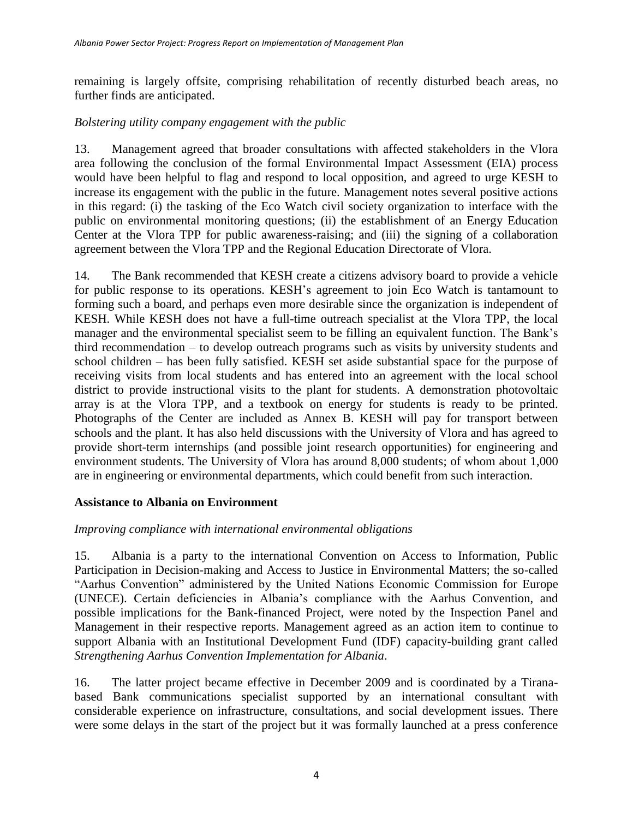remaining is largely offsite, comprising rehabilitation of recently disturbed beach areas, no further finds are anticipated.

#### *Bolstering utility company engagement with the public*

13. Management agreed that broader consultations with affected stakeholders in the Vlora area following the conclusion of the formal Environmental Impact Assessment (EIA) process would have been helpful to flag and respond to local opposition, and agreed to urge KESH to increase its engagement with the public in the future. Management notes several positive actions in this regard: (i) the tasking of the Eco Watch civil society organization to interface with the public on environmental monitoring questions; (ii) the establishment of an Energy Education Center at the Vlora TPP for public awareness-raising; and (iii) the signing of a collaboration agreement between the Vlora TPP and the Regional Education Directorate of Vlora.

14. The Bank recommended that KESH create a citizens advisory board to provide a vehicle for public response to its operations. KESH's agreement to join Eco Watch is tantamount to forming such a board, and perhaps even more desirable since the organization is independent of KESH. While KESH does not have a full-time outreach specialist at the Vlora TPP, the local manager and the environmental specialist seem to be filling an equivalent function. The Bank's third recommendation – to develop outreach programs such as visits by university students and school children – has been fully satisfied. KESH set aside substantial space for the purpose of receiving visits from local students and has entered into an agreement with the local school district to provide instructional visits to the plant for students. A demonstration photovoltaic array is at the Vlora TPP, and a textbook on energy for students is ready to be printed. Photographs of the Center are included as Annex B. KESH will pay for transport between schools and the plant. It has also held discussions with the University of Vlora and has agreed to provide short-term internships (and possible joint research opportunities) for engineering and environment students. The University of Vlora has around 8,000 students; of whom about 1,000 are in engineering or environmental departments, which could benefit from such interaction.

#### **Assistance to Albania on Environment**

#### *Improving compliance with international environmental obligations*

15. Albania is a party to the international Convention on Access to Information, Public Participation in Decision-making and Access to Justice in Environmental Matters; the so-called "Aarhus Convention" administered by the United Nations Economic Commission for Europe (UNECE). Certain deficiencies in Albania's compliance with the Aarhus Convention, and possible implications for the Bank-financed Project, were noted by the Inspection Panel and Management in their respective reports. Management agreed as an action item to continue to support Albania with an Institutional Development Fund (IDF) capacity-building grant called *Strengthening Aarhus Convention Implementation for Albania*.

16. The latter project became effective in December 2009 and is coordinated by a Tiranabased Bank communications specialist supported by an international consultant with considerable experience on infrastructure, consultations, and social development issues. There were some delays in the start of the project but it was formally launched at a press conference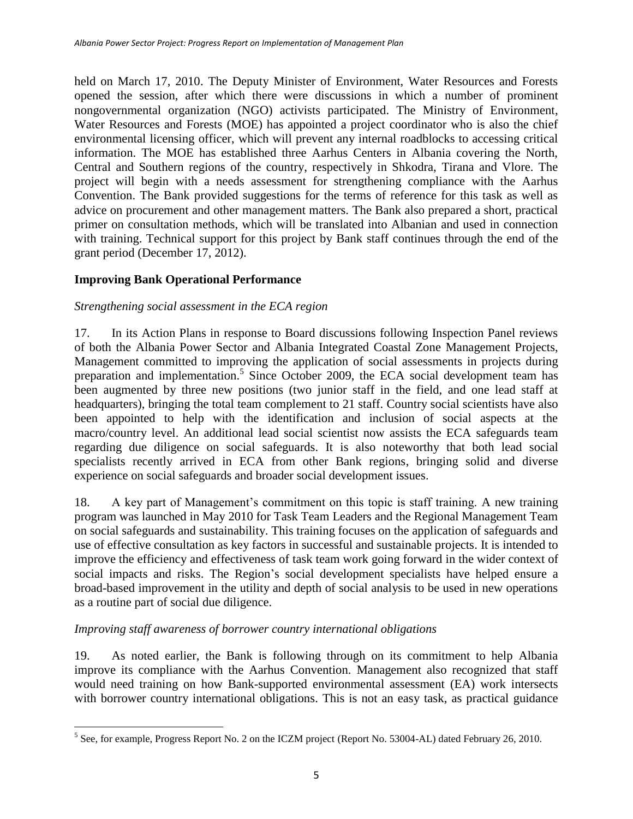held on March 17, 2010. The Deputy Minister of Environment, Water Resources and Forests opened the session, after which there were discussions in which a number of prominent nongovernmental organization (NGO) activists participated. The Ministry of Environment, Water Resources and Forests (MOE) has appointed a project coordinator who is also the chief environmental licensing officer, which will prevent any internal roadblocks to accessing critical information. The MOE has established three Aarhus Centers in Albania covering the North, Central and Southern regions of the country, respectively in Shkodra, Tirana and Vlore. The project will begin with a needs assessment for strengthening compliance with the Aarhus Convention. The Bank provided suggestions for the terms of reference for this task as well as advice on procurement and other management matters. The Bank also prepared a short, practical primer on consultation methods, which will be translated into Albanian and used in connection with training. Technical support for this project by Bank staff continues through the end of the grant period (December 17, 2012).

### **Improving Bank Operational Performance**

#### *Strengthening social assessment in the ECA region*

17. In its Action Plans in response to Board discussions following Inspection Panel reviews of both the Albania Power Sector and Albania Integrated Coastal Zone Management Projects, Management committed to improving the application of social assessments in projects during preparation and implementation.<sup>5</sup> Since October 2009, the ECA social development team has been augmented by three new positions (two junior staff in the field, and one lead staff at headquarters), bringing the total team complement to 21 staff. Country social scientists have also been appointed to help with the identification and inclusion of social aspects at the macro/country level. An additional lead social scientist now assists the ECA safeguards team regarding due diligence on social safeguards. It is also noteworthy that both lead social specialists recently arrived in ECA from other Bank regions, bringing solid and diverse experience on social safeguards and broader social development issues.

18. A key part of Management's commitment on this topic is staff training. A new training program was launched in May 2010 for Task Team Leaders and the Regional Management Team on social safeguards and sustainability. This training focuses on the application of safeguards and use of effective consultation as key factors in successful and sustainable projects. It is intended to improve the efficiency and effectiveness of task team work going forward in the wider context of social impacts and risks. The Region's social development specialists have helped ensure a broad-based improvement in the utility and depth of social analysis to be used in new operations as a routine part of social due diligence.

#### *Improving staff awareness of borrower country international obligations*

19. As noted earlier, the Bank is following through on its commitment to help Albania improve its compliance with the Aarhus Convention. Management also recognized that staff would need training on how Bank-supported environmental assessment (EA) work intersects with borrower country international obligations. This is not an easy task, as practical guidance

<sup>&</sup>lt;sup>5</sup> See, for example, Progress Report No. 2 on the ICZM project (Report No. 53004-AL) dated February 26, 2010.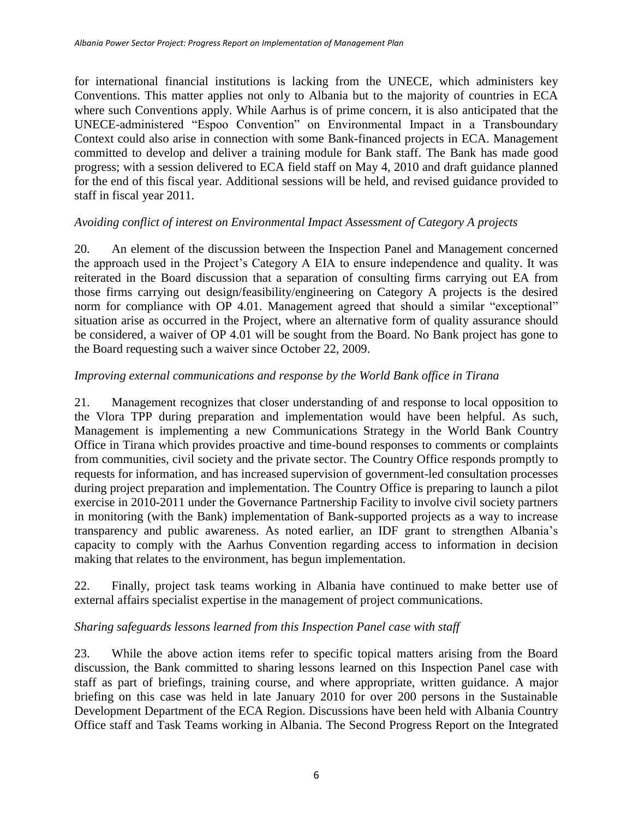for international financial institutions is lacking from the UNECE, which administers key Conventions. This matter applies not only to Albania but to the majority of countries in ECA where such Conventions apply. While Aarhus is of prime concern, it is also anticipated that the UNECE-administered "Espoo Convention" on Environmental Impact in a Transboundary Context could also arise in connection with some Bank-financed projects in ECA. Management committed to develop and deliver a training module for Bank staff. The Bank has made good progress; with a session delivered to ECA field staff on May 4, 2010 and draft guidance planned for the end of this fiscal year. Additional sessions will be held, and revised guidance provided to staff in fiscal year 2011.

### *Avoiding conflict of interest on Environmental Impact Assessment of Category A projects*

20. An element of the discussion between the Inspection Panel and Management concerned the approach used in the Project's Category A EIA to ensure independence and quality. It was reiterated in the Board discussion that a separation of consulting firms carrying out EA from those firms carrying out design/feasibility/engineering on Category A projects is the desired norm for compliance with OP 4.01. Management agreed that should a similar "exceptional" situation arise as occurred in the Project, where an alternative form of quality assurance should be considered, a waiver of OP 4.01 will be sought from the Board. No Bank project has gone to the Board requesting such a waiver since October 22, 2009.

#### *Improving external communications and response by the World Bank office in Tirana*

21. Management recognizes that closer understanding of and response to local opposition to the Vlora TPP during preparation and implementation would have been helpful. As such, Management is implementing a new Communications Strategy in the World Bank Country Office in Tirana which provides proactive and time-bound responses to comments or complaints from communities, civil society and the private sector. The Country Office responds promptly to requests for information, and has increased supervision of government-led consultation processes during project preparation and implementation. The Country Office is preparing to launch a pilot exercise in 2010-2011 under the Governance Partnership Facility to involve civil society partners in monitoring (with the Bank) implementation of Bank-supported projects as a way to increase transparency and public awareness. As noted earlier, an IDF grant to strengthen Albania's capacity to comply with the Aarhus Convention regarding access to information in decision making that relates to the environment, has begun implementation.

22. Finally, project task teams working in Albania have continued to make better use of external affairs specialist expertise in the management of project communications.

### *Sharing safeguards lessons learned from this Inspection Panel case with staff*

23. While the above action items refer to specific topical matters arising from the Board discussion, the Bank committed to sharing lessons learned on this Inspection Panel case with staff as part of briefings, training course, and where appropriate, written guidance. A major briefing on this case was held in late January 2010 for over 200 persons in the Sustainable Development Department of the ECA Region. Discussions have been held with Albania Country Office staff and Task Teams working in Albania. The Second Progress Report on the Integrated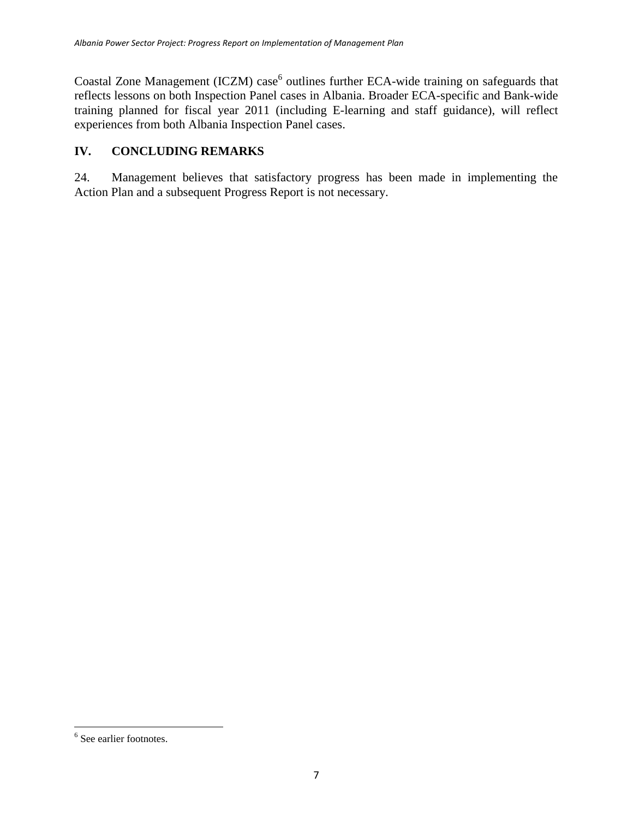Coastal Zone Management (ICZM) case<sup>6</sup> outlines further ECA-wide training on safeguards that reflects lessons on both Inspection Panel cases in Albania. Broader ECA-specific and Bank-wide training planned for fiscal year 2011 (including E-learning and staff guidance), will reflect experiences from both Albania Inspection Panel cases.

## <span id="page-11-0"></span>**IV. CONCLUDING REMARKS**

24. Management believes that satisfactory progress has been made in implementing the Action Plan and a subsequent Progress Report is not necessary.

 $\overline{\phantom{a}}$ 

<sup>&</sup>lt;sup>6</sup> See earlier footnotes.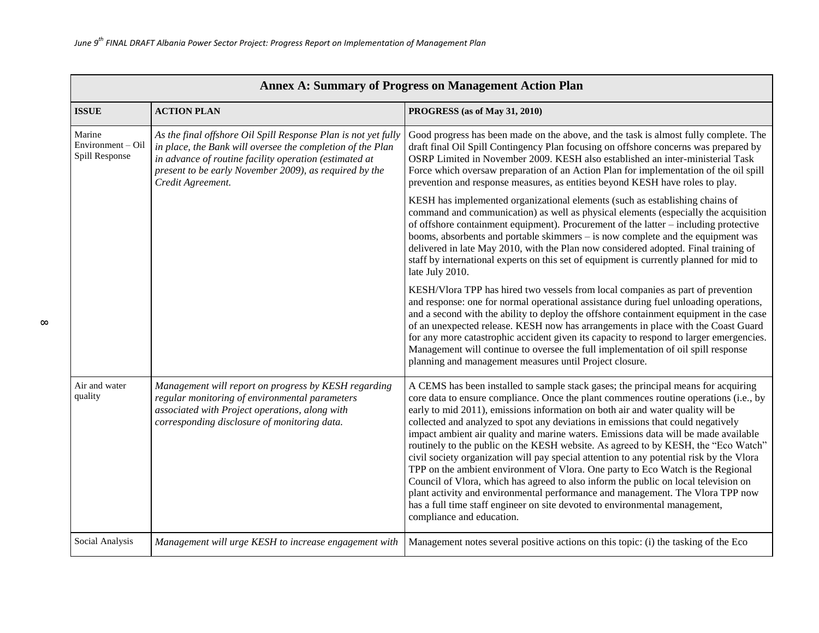| <b>Annex A: Summary of Progress on Management Action Plan</b> |                                                                                                                                                                                                                                                                       |                                                                                                                                                                                                                                                                                                                                                                                                                                                                                                                                                                                                                                                                                                                                                                                                                                                                                                                                                                                                     |  |
|---------------------------------------------------------------|-----------------------------------------------------------------------------------------------------------------------------------------------------------------------------------------------------------------------------------------------------------------------|-----------------------------------------------------------------------------------------------------------------------------------------------------------------------------------------------------------------------------------------------------------------------------------------------------------------------------------------------------------------------------------------------------------------------------------------------------------------------------------------------------------------------------------------------------------------------------------------------------------------------------------------------------------------------------------------------------------------------------------------------------------------------------------------------------------------------------------------------------------------------------------------------------------------------------------------------------------------------------------------------------|--|
| <b>ISSUE</b>                                                  | <b>ACTION PLAN</b>                                                                                                                                                                                                                                                    | PROGRESS (as of May 31, 2010)                                                                                                                                                                                                                                                                                                                                                                                                                                                                                                                                                                                                                                                                                                                                                                                                                                                                                                                                                                       |  |
| Marine<br>Environment - Oil<br>Spill Response                 | As the final offshore Oil Spill Response Plan is not yet fully<br>in place, the Bank will oversee the completion of the Plan<br>in advance of routine facility operation (estimated at<br>present to be early November 2009), as required by the<br>Credit Agreement. | Good progress has been made on the above, and the task is almost fully complete. The<br>draft final Oil Spill Contingency Plan focusing on offshore concerns was prepared by<br>OSRP Limited in November 2009. KESH also established an inter-ministerial Task<br>Force which oversaw preparation of an Action Plan for implementation of the oil spill<br>prevention and response measures, as entities beyond KESH have roles to play.                                                                                                                                                                                                                                                                                                                                                                                                                                                                                                                                                            |  |
|                                                               |                                                                                                                                                                                                                                                                       | KESH has implemented organizational elements (such as establishing chains of<br>command and communication) as well as physical elements (especially the acquisition<br>of offshore containment equipment). Procurement of the latter - including protective<br>booms, absorbents and portable skimmers – is now complete and the equipment was<br>delivered in late May 2010, with the Plan now considered adopted. Final training of<br>staff by international experts on this set of equipment is currently planned for mid to<br>late July 2010.                                                                                                                                                                                                                                                                                                                                                                                                                                                 |  |
|                                                               |                                                                                                                                                                                                                                                                       | KESH/Vlora TPP has hired two vessels from local companies as part of prevention<br>and response: one for normal operational assistance during fuel unloading operations,<br>and a second with the ability to deploy the offshore containment equipment in the case<br>of an unexpected release. KESH now has arrangements in place with the Coast Guard<br>for any more catastrophic accident given its capacity to respond to larger emergencies.<br>Management will continue to oversee the full implementation of oil spill response<br>planning and management measures until Project closure.                                                                                                                                                                                                                                                                                                                                                                                                  |  |
| Air and water<br>quality                                      | Management will report on progress by KESH regarding<br>regular monitoring of environmental parameters<br>associated with Project operations, along with<br>corresponding disclosure of monitoring data.                                                              | A CEMS has been installed to sample stack gases; the principal means for acquiring<br>core data to ensure compliance. Once the plant commences routine operations (i.e., by<br>early to mid 2011), emissions information on both air and water quality will be<br>collected and analyzed to spot any deviations in emissions that could negatively<br>impact ambient air quality and marine waters. Emissions data will be made available<br>routinely to the public on the KESH website. As agreed to by KESH, the "Eco Watch"<br>civil society organization will pay special attention to any potential risk by the Vlora<br>TPP on the ambient environment of Vlora. One party to Eco Watch is the Regional<br>Council of Vlora, which has agreed to also inform the public on local television on<br>plant activity and environmental performance and management. The Vlora TPP now<br>has a full time staff engineer on site devoted to environmental management,<br>compliance and education. |  |
| Social Analysis                                               | Management will urge KESH to increase engagement with                                                                                                                                                                                                                 | Management notes several positive actions on this topic: (i) the tasking of the Eco                                                                                                                                                                                                                                                                                                                                                                                                                                                                                                                                                                                                                                                                                                                                                                                                                                                                                                                 |  |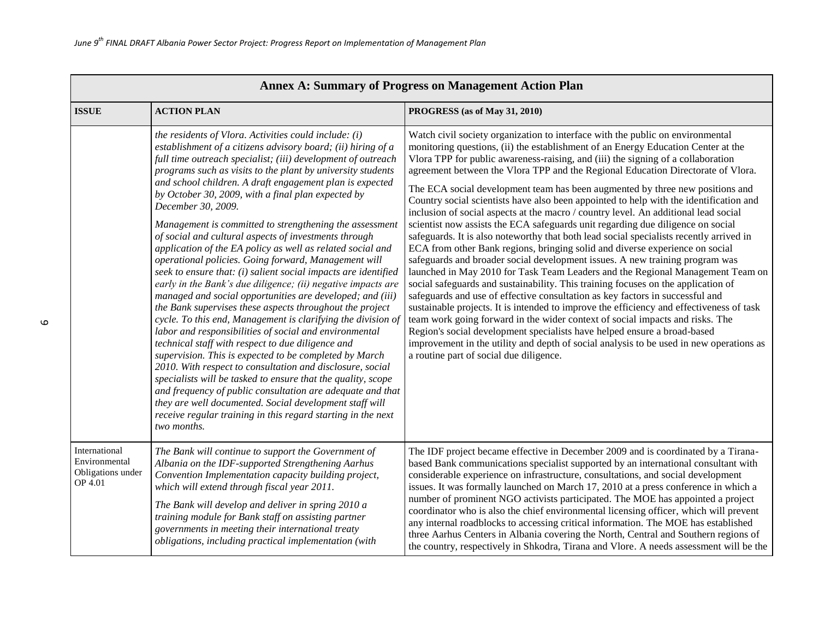| <b>Annex A: Summary of Progress on Management Action Plan</b>  |                                                                                                                                                                                                                                                                                                                                                                                                                                                                                                                                                                                                                                                                                                                                                                                                                                                                                                                                                                                                                                                                                                                                                                                                                                                                                                                                                                                                                                                                                 |                                                                                                                                                                                                                                                                                                                                                                                                                                                                                                                                                                                                                                                                                                                                                                                                                                                                                                                                                                                                                                                                                                                                                                                                                                                                                                                                                                                                                                                                                                                                                                                                                    |  |
|----------------------------------------------------------------|---------------------------------------------------------------------------------------------------------------------------------------------------------------------------------------------------------------------------------------------------------------------------------------------------------------------------------------------------------------------------------------------------------------------------------------------------------------------------------------------------------------------------------------------------------------------------------------------------------------------------------------------------------------------------------------------------------------------------------------------------------------------------------------------------------------------------------------------------------------------------------------------------------------------------------------------------------------------------------------------------------------------------------------------------------------------------------------------------------------------------------------------------------------------------------------------------------------------------------------------------------------------------------------------------------------------------------------------------------------------------------------------------------------------------------------------------------------------------------|--------------------------------------------------------------------------------------------------------------------------------------------------------------------------------------------------------------------------------------------------------------------------------------------------------------------------------------------------------------------------------------------------------------------------------------------------------------------------------------------------------------------------------------------------------------------------------------------------------------------------------------------------------------------------------------------------------------------------------------------------------------------------------------------------------------------------------------------------------------------------------------------------------------------------------------------------------------------------------------------------------------------------------------------------------------------------------------------------------------------------------------------------------------------------------------------------------------------------------------------------------------------------------------------------------------------------------------------------------------------------------------------------------------------------------------------------------------------------------------------------------------------------------------------------------------------------------------------------------------------|--|
| <b>ISSUE</b>                                                   | <b>ACTION PLAN</b>                                                                                                                                                                                                                                                                                                                                                                                                                                                                                                                                                                                                                                                                                                                                                                                                                                                                                                                                                                                                                                                                                                                                                                                                                                                                                                                                                                                                                                                              | PROGRESS (as of May 31, 2010)                                                                                                                                                                                                                                                                                                                                                                                                                                                                                                                                                                                                                                                                                                                                                                                                                                                                                                                                                                                                                                                                                                                                                                                                                                                                                                                                                                                                                                                                                                                                                                                      |  |
|                                                                | the residents of Vlora. Activities could include: (i)<br>establishment of a citizens advisory board; (ii) hiring of a<br>full time outreach specialist; (iii) development of outreach<br>programs such as visits to the plant by university students<br>and school children. A draft engagement plan is expected<br>by October 30, 2009, with a final plan expected by<br>December 30, 2009.<br>Management is committed to strengthening the assessment<br>of social and cultural aspects of investments through<br>application of the EA policy as well as related social and<br>operational policies. Going forward, Management will<br>seek to ensure that: (i) salient social impacts are identified<br>early in the Bank's due diligence; (ii) negative impacts are<br>managed and social opportunities are developed; and (iii)<br>the Bank supervises these aspects throughout the project<br>cycle. To this end, Management is clarifying the division of<br>labor and responsibilities of social and environmental<br>technical staff with respect to due diligence and<br>supervision. This is expected to be completed by March<br>2010. With respect to consultation and disclosure, social<br>specialists will be tasked to ensure that the quality, scope<br>and frequency of public consultation are adequate and that<br>they are well documented. Social development staff will<br>receive regular training in this regard starting in the next<br>two months. | Watch civil society organization to interface with the public on environmental<br>monitoring questions, (ii) the establishment of an Energy Education Center at the<br>Vlora TPP for public awareness-raising, and (iii) the signing of a collaboration<br>agreement between the Vlora TPP and the Regional Education Directorate of Vlora.<br>The ECA social development team has been augmented by three new positions and<br>Country social scientists have also been appointed to help with the identification and<br>inclusion of social aspects at the macro / country level. An additional lead social<br>scientist now assists the ECA safeguards unit regarding due diligence on social<br>safeguards. It is also noteworthy that both lead social specialists recently arrived in<br>ECA from other Bank regions, bringing solid and diverse experience on social<br>safeguards and broader social development issues. A new training program was<br>launched in May 2010 for Task Team Leaders and the Regional Management Team on<br>social safeguards and sustainability. This training focuses on the application of<br>safeguards and use of effective consultation as key factors in successful and<br>sustainable projects. It is intended to improve the efficiency and effectiveness of task<br>team work going forward in the wider context of social impacts and risks. The<br>Region's social development specialists have helped ensure a broad-based<br>improvement in the utility and depth of social analysis to be used in new operations as<br>a routine part of social due diligence. |  |
| International<br>Environmental<br>Obligations under<br>OP 4.01 | The Bank will continue to support the Government of<br>Albania on the IDF-supported Strengthening Aarhus<br>Convention Implementation capacity building project,<br>which will extend through fiscal year 2011.<br>The Bank will develop and deliver in spring 2010 a<br>training module for Bank staff on assisting partner<br>governments in meeting their international treaty<br>obligations, including practical implementation (with                                                                                                                                                                                                                                                                                                                                                                                                                                                                                                                                                                                                                                                                                                                                                                                                                                                                                                                                                                                                                                      | The IDF project became effective in December 2009 and is coordinated by a Tirana-<br>based Bank communications specialist supported by an international consultant with<br>considerable experience on infrastructure, consultations, and social development<br>issues. It was formally launched on March 17, 2010 at a press conference in which a<br>number of prominent NGO activists participated. The MOE has appointed a project<br>coordinator who is also the chief environmental licensing officer, which will prevent<br>any internal roadblocks to accessing critical information. The MOE has established<br>three Aarhus Centers in Albania covering the North, Central and Southern regions of<br>the country, respectively in Shkodra, Tirana and Vlore. A needs assessment will be the                                                                                                                                                                                                                                                                                                                                                                                                                                                                                                                                                                                                                                                                                                                                                                                                              |  |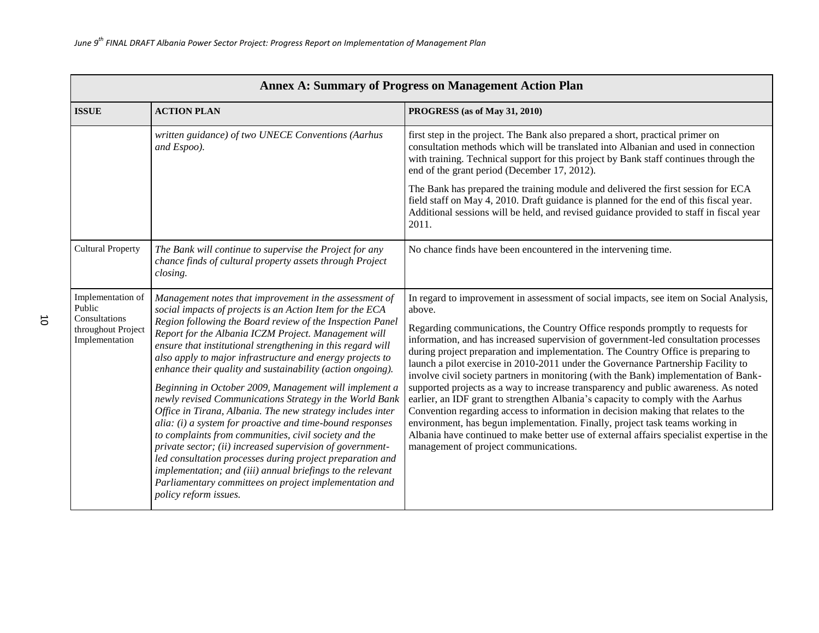| <b>Annex A: Summary of Progress on Management Action Plan</b>                        |                                                                                                                                                                                                                                                                                                                                                                                                                                                                                                                                                                                                                                                                                                                                                                                                                                                                                                                                                                                                                       |                                                                                                                                                                                                                                                                                                                                                                                                                                                                                                                                                                                                                                                                                                                                                                                                                                                                                                                                                                                                                                    |  |
|--------------------------------------------------------------------------------------|-----------------------------------------------------------------------------------------------------------------------------------------------------------------------------------------------------------------------------------------------------------------------------------------------------------------------------------------------------------------------------------------------------------------------------------------------------------------------------------------------------------------------------------------------------------------------------------------------------------------------------------------------------------------------------------------------------------------------------------------------------------------------------------------------------------------------------------------------------------------------------------------------------------------------------------------------------------------------------------------------------------------------|------------------------------------------------------------------------------------------------------------------------------------------------------------------------------------------------------------------------------------------------------------------------------------------------------------------------------------------------------------------------------------------------------------------------------------------------------------------------------------------------------------------------------------------------------------------------------------------------------------------------------------------------------------------------------------------------------------------------------------------------------------------------------------------------------------------------------------------------------------------------------------------------------------------------------------------------------------------------------------------------------------------------------------|--|
| <b>ISSUE</b>                                                                         | <b>ACTION PLAN</b>                                                                                                                                                                                                                                                                                                                                                                                                                                                                                                                                                                                                                                                                                                                                                                                                                                                                                                                                                                                                    | PROGRESS (as of May 31, 2010)                                                                                                                                                                                                                                                                                                                                                                                                                                                                                                                                                                                                                                                                                                                                                                                                                                                                                                                                                                                                      |  |
|                                                                                      | written guidance) of two UNECE Conventions (Aarhus<br>and Espoo).                                                                                                                                                                                                                                                                                                                                                                                                                                                                                                                                                                                                                                                                                                                                                                                                                                                                                                                                                     | first step in the project. The Bank also prepared a short, practical primer on<br>consultation methods which will be translated into Albanian and used in connection<br>with training. Technical support for this project by Bank staff continues through the<br>end of the grant period (December 17, 2012).                                                                                                                                                                                                                                                                                                                                                                                                                                                                                                                                                                                                                                                                                                                      |  |
|                                                                                      |                                                                                                                                                                                                                                                                                                                                                                                                                                                                                                                                                                                                                                                                                                                                                                                                                                                                                                                                                                                                                       | The Bank has prepared the training module and delivered the first session for ECA<br>field staff on May 4, 2010. Draft guidance is planned for the end of this fiscal year.<br>Additional sessions will be held, and revised guidance provided to staff in fiscal year<br>2011.                                                                                                                                                                                                                                                                                                                                                                                                                                                                                                                                                                                                                                                                                                                                                    |  |
| <b>Cultural Property</b>                                                             | The Bank will continue to supervise the Project for any<br>chance finds of cultural property assets through Project<br>closing.                                                                                                                                                                                                                                                                                                                                                                                                                                                                                                                                                                                                                                                                                                                                                                                                                                                                                       | No chance finds have been encountered in the intervening time.                                                                                                                                                                                                                                                                                                                                                                                                                                                                                                                                                                                                                                                                                                                                                                                                                                                                                                                                                                     |  |
| Implementation of<br>Public<br>Consultations<br>throughout Project<br>Implementation | Management notes that improvement in the assessment of<br>social impacts of projects is an Action Item for the ECA<br>Region following the Board review of the Inspection Panel<br>Report for the Albania ICZM Project. Management will<br>ensure that institutional strengthening in this regard will<br>also apply to major infrastructure and energy projects to<br>enhance their quality and sustainability (action ongoing).<br>Beginning in October 2009, Management will implement a<br>newly revised Communications Strategy in the World Bank<br>Office in Tirana, Albania. The new strategy includes inter<br>alia: (i) a system for proactive and time-bound responses<br>to complaints from communities, civil society and the<br>private sector; (ii) increased supervision of government-<br>led consultation processes during project preparation and<br>implementation; and (iii) annual briefings to the relevant<br>Parliamentary committees on project implementation and<br>policy reform issues. | In regard to improvement in assessment of social impacts, see item on Social Analysis,<br>above.<br>Regarding communications, the Country Office responds promptly to requests for<br>information, and has increased supervision of government-led consultation processes<br>during project preparation and implementation. The Country Office is preparing to<br>launch a pilot exercise in 2010-2011 under the Governance Partnership Facility to<br>involve civil society partners in monitoring (with the Bank) implementation of Bank-<br>supported projects as a way to increase transparency and public awareness. As noted<br>earlier, an IDF grant to strengthen Albania's capacity to comply with the Aarhus<br>Convention regarding access to information in decision making that relates to the<br>environment, has begun implementation. Finally, project task teams working in<br>Albania have continued to make better use of external affairs specialist expertise in the<br>management of project communications. |  |